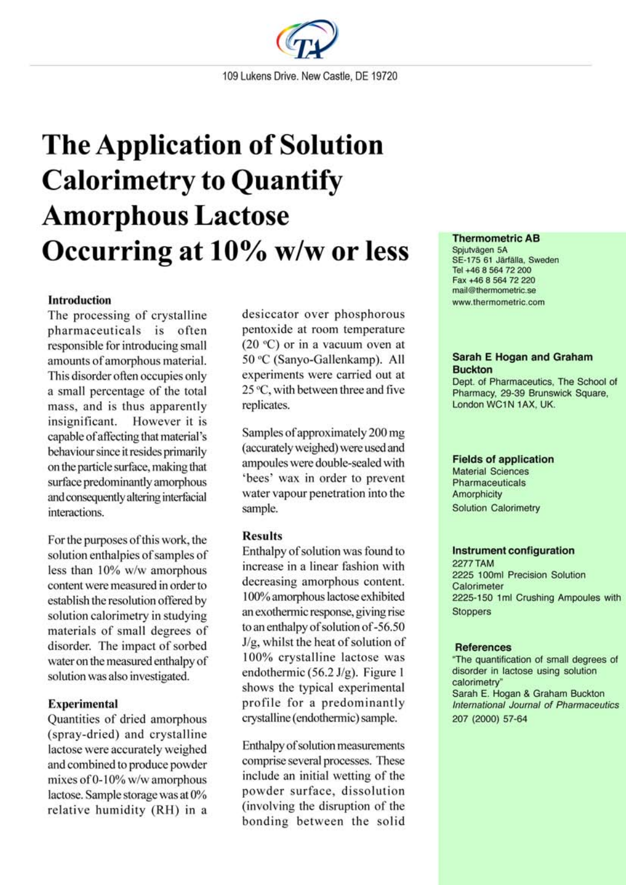

# **The Application of Solution Calorimetry to Quantify Amorphous Lactose** Occurring at 10% w/w or less

# **Introduction**

The processing of crystalline pharmaceuticals is often responsible for introducing small amounts of amorphous material. This disorder often occupies only a small percentage of the total mass, and is thus apparently insignificant. However it is capable of affecting that material's behaviour since it resides primarily on the particle surface, making that surface predominantly amorphous and consequently altering interfacial interactions.

For the purposes of this work, the solution enthalpies of samples of less than 10% w/w amorphous content were measured in order to establish the resolution offered by solution calorimetry in studying materials of small degrees of disorder. The impact of sorbed water on the measured enthalpy of solution was also investigated.

# **Experimental**

Quantities of dried amorphous (spray-dried) and crystalline lactose were accurately weighed and combined to produce powder mixes of 0-10% w/w amorphous lactose. Sample storage was at 0% relative humidity (RH) in a

desiccator over phosphorous pentoxide at room temperature  $(20 °C)$  or in a vacuum oven at 50 °C (Sanyo-Gallenkamp). All experiments were carried out at 25 °C, with between three and five replicates.

Samples of approximately 200 mg (accurately weighed) were used and ampoules were double-sealed with 'bees' wax in order to prevent water vapour penetration into the sample.

## **Results**

Enthalpy of solution was found to increase in a linear fashion with decreasing amorphous content. 100% amorphous lactose exhibited an exothermic response, giving rise to an enthalpy of solution of -56.50 J/g, whilst the heat of solution of 100% crystalline lactose was endothermic  $(56.2 \text{ J/g})$ . Figure 1 shows the typical experimental profile for a predominantly crystalline (endothermic) sample.

Enthalpy of solution measurements comprise several processes. These include an initial wetting of the powder surface, dissolution (involving the disruption of the bonding between the solid

## **Thermometric AB**

Spjutvägen 5A SE-175 61 Järfälla, Sweden Tel +46 8 564 72 200 Fax +46 8 564 72 220 mail@thermometric.se www.thermometric.com

## **Sarah E Hogan and Graham Buckton**

Dept. of Pharmaceutics. The School of Pharmacy, 29-39 Brunswick Square, London WC1N 1AX, UK.

#### **Fields of application**

**Material Sciences** Pharmaceuticals Amorphicity **Solution Calorimetry** 

#### **Instrument configuration**

**2277 TAM** 2225 100ml Precision Solution Calorimeter 2225-150 1ml Crushing Ampoules with **Stoppers** 

#### **References**

"The quantification of small degrees of disorder in lactose using solution calorimetry" Sarah E. Hogan & Graham Buckton International Journal of Pharmaceutics 207 (2000) 57-64